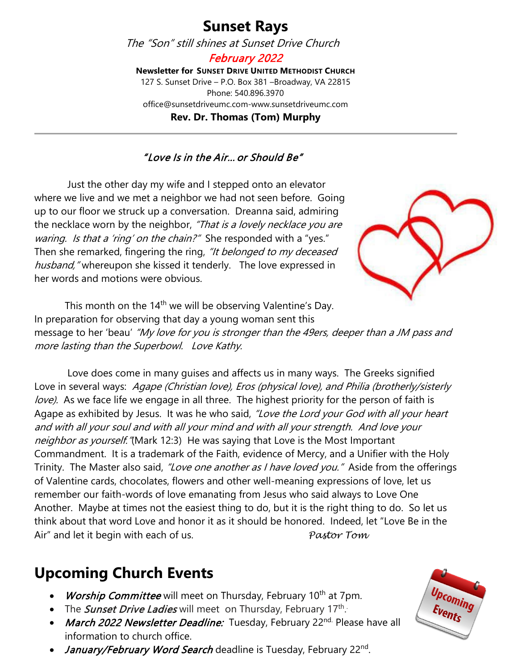#### **Sunset Rays**

The "Son" still shines at Sunset Drive Church

February 2022 **Newsletter for SUNSET DRIVE UNITED METHODIST CHURCH** 127 S. Sunset Drive – P.O. Box 381 –Broadway, VA 22815 Phone: 540.896.3970 office@sunsetdriveumc.com-www.sunsetdriveumc.com **Rev. Dr. Thomas (Tom) Murphy**

#### "Love Is in the Air… or Should Be"

Just the other day my wife and I stepped onto an elevator where we live and we met a neighbor we had not seen before. Going up to our floor we struck up a conversation. Dreanna said, admiring the necklace worn by the neighbor, "That is a lovely necklace you are waring. Is that a 'ring' on the chain?" She responded with a "yes." Then she remarked, fingering the ring, "It belonged to my deceased husband," whereupon she kissed it tenderly. The love expressed in her words and motions were obvious.



This month on the 14<sup>th</sup> we will be observing Valentine's Day. In preparation for observing that day a young woman sent this message to her 'beau' "My love for you is stronger than the 49ers, deeper than a JM pass and more lasting than the Superbowl. Love Kathy.

Love does come in many guises and affects us in many ways. The Greeks signified Love in several ways: Agape (Christian love), Eros (physical love), and Philia (brotherly/sisterly love). As we face life we engage in all three. The highest priority for the person of faith is Agape as exhibited by Jesus. It was he who said, "Love the Lord your God with all your heart and with all your soul and with all your mind and with all your strength. And love your neighbor as yourself."(Mark 12:3) He was saying that Love is the Most Important Commandment. It is a trademark of the Faith, evidence of Mercy, and a Unifier with the Holy Trinity. The Master also said, "Love one another as I have loved you." Aside from the offerings of Valentine cards, chocolates, flowers and other well-meaning expressions of love, let us remember our faith-words of love emanating from Jesus who said always to Love One Another. Maybe at times not the easiest thing to do, but it is the right thing to do. So let us think about that word Love and honor it as it should be honored. Indeed, let "Love Be in the Air" and let it begin with each of us. *Pastor Tom*

#### **Upcoming Church Events**

- Worship Committee will meet on Thursday, February 10<sup>th</sup> at 7pm.
- The *Sunset Drive Ladies* will meet on Thursday, February 17<sup>th</sup>.
- March 2022 Newsletter Deadline: Tuesday, February 22nd. Please have all information to church office.
- *January/February Word Search* deadline is Tuesday, February 22<sup>nd</sup>.

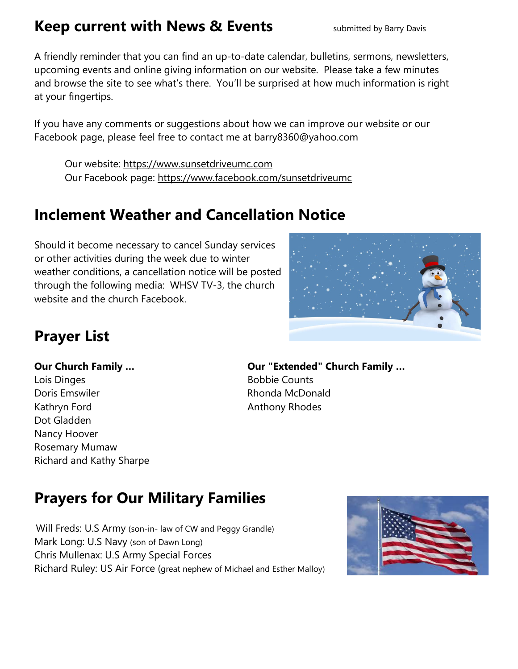#### **Keep current with News & Events** submitted by Barry Davis

A friendly reminder that you can find an up-to-date calendar, bulletins, sermons, newsletters, upcoming events and online giving information on our website. Please take a few minutes and browse the site to see what's there. You'll be surprised at how much information is right at your fingertips.

If you have any comments or suggestions about how we can improve our website or our Facebook page, please feel free to contact me at barry8360@yahoo.com

Our website: [https://www.sunsetdriveumc.com](about:blank) Our Facebook page: [https://www.facebook.com/sunsetdriveumc](about:blank)

#### **Inclement Weather and Cancellation Notice**

Should it become necessary to cancel Sunday services or other activities during the week due to winter weather conditions, a cancellation notice will be posted through the following media: WHSV TV-3, the church website and the church Facebook.



## **Prayer List**

Lois Dinges **Bobbie Counts** Doris Emswiler Rhonda McDonald Kathryn Ford **Anthony Rhodes** Dot Gladden Nancy Hoover Rosemary Mumaw Richard and Kathy Sharpe

# **Our Church Family … Our "Extended" Church Family …**

# **Prayers for Our Military Families**

 Will Freds: U.S Army (son-in- law of CW and Peggy Grandle) Mark Long: U.S Navy (son of Dawn Long) Chris Mullenax: U.S Army Special Forces Richard Ruley: US Air Force (great nephew of Michael and Esther Malloy)

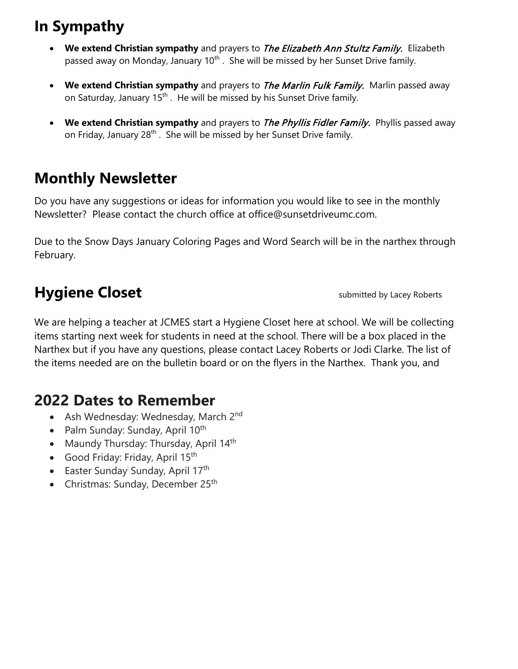#### **In Sympathy**

- **We extend Christian sympathy** and prayers to The Elizabeth Ann Stultz Family. Elizabeth passed away on Monday, January 10<sup>th</sup>. She will be missed by her Sunset Drive family.
- **We extend Christian sympathy** and prayers to The Marlin Fulk Family. Marlin passed away on Saturday, January 15<sup>th</sup>. He will be missed by his Sunset Drive family.
- **We extend Christian sympathy** and prayers to The Phyllis Fidler Family. Phyllis passed away on Friday, January 28<sup>th</sup>. She will be missed by her Sunset Drive family.

## **Monthly Newsletter**

Do you have any suggestions or ideas for information you would like to see in the monthly Newsletter? Please contact the church office at office@sunsetdriveumc.com.

Due to the Snow Days January Coloring Pages and Word Search will be in the narthex through February.

# **Hygiene Closet Submitted by Lacey Roberts**

We are helping a teacher at JCMES start a Hygiene Closet here at school. We will be collecting items starting next week for students in need at the school. There will be a box placed in the Narthex but if you have any questions, please contact Lacey Roberts or Jodi Clarke. The list of the items needed are on the bulletin board or on the flyers in the Narthex. Thank you, and

#### **2022 Dates to Remember**

- Ash Wednesday: Wednesday, March 2<sup>nd</sup>
- Palm Sunday: Sunday, April  $10^{th}$
- Maundy Thursday: Thursday, April 14<sup>th</sup>
- Good Friday: Friday, April 15<sup>th</sup>
- Easter Sunday Sunday, April 17<sup>th</sup>
- Christmas: Sunday, December 25<sup>th</sup>